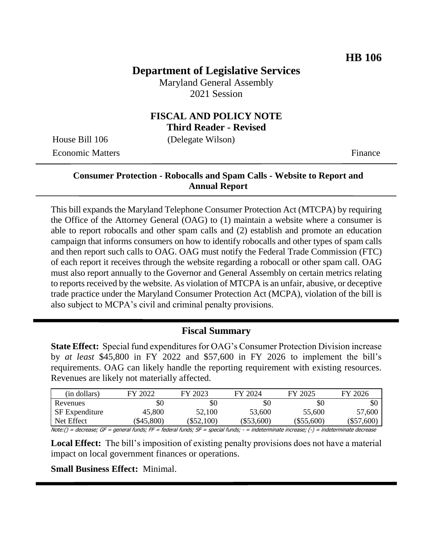## **Department of Legislative Services**

Maryland General Assembly 2021 Session

#### **FISCAL AND POLICY NOTE Third Reader - Revised**

House Bill 106 (Delegate Wilson)

Economic Matters **Finance** 

### **Consumer Protection - Robocalls and Spam Calls - Website to Report and Annual Report**

This bill expands the Maryland Telephone Consumer Protection Act (MTCPA) by requiring the Office of the Attorney General (OAG) to (1) maintain a website where a consumer is able to report robocalls and other spam calls and (2) establish and promote an education campaign that informs consumers on how to identify robocalls and other types of spam calls and then report such calls to OAG. OAG must notify the Federal Trade Commission (FTC) of each report it receives through the website regarding a robocall or other spam call. OAG must also report annually to the Governor and General Assembly on certain metrics relating to reports received by the website. As violation of MTCPA is an unfair, abusive, or deceptive trade practice under the Maryland Consumer Protection Act (MCPA), violation of the bill is also subject to MCPA's civil and criminal penalty provisions.

#### **Fiscal Summary**

**State Effect:** Special fund expenditures for OAG's Consumer Protection Division increase by *at least* \$45,800 in FY 2022 and \$57,600 in FY 2026 to implement the bill's requirements. OAG can likely handle the reporting requirement with existing resources. Revenues are likely not materially affected.

| \$C          | \$0          |
|--------------|--------------|
| 55,600       | 57,600       |
| $(\$55,600)$ | $(\$57,600)$ |
|              |              |

Note:() = decrease; GF = general funds; FF = federal funds; SF = special funds; - = indeterminate increase; (-) = indeterminate decrease

**Local Effect:** The bill's imposition of existing penalty provisions does not have a material impact on local government finances or operations.

**Small Business Effect:** Minimal.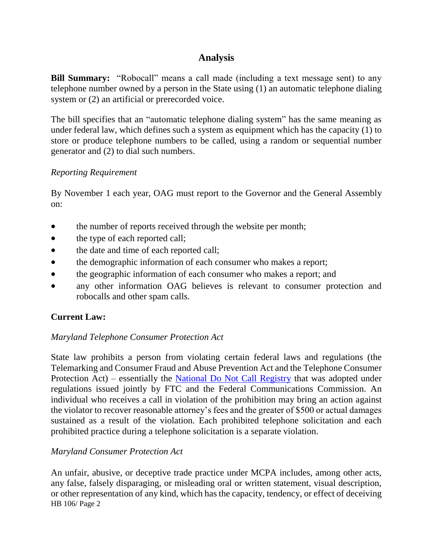### **Analysis**

**Bill Summary:** "Robocall" means a call made (including a text message sent) to any telephone number owned by a person in the State using (1) an automatic telephone dialing system or (2) an artificial or prerecorded voice.

The bill specifies that an "automatic telephone dialing system" has the same meaning as under federal law, which defines such a system as equipment which has the capacity (1) to store or produce telephone numbers to be called, using a random or sequential number generator and (2) to dial such numbers.

#### *Reporting Requirement*

By November 1 each year, OAG must report to the Governor and the General Assembly on:

- the number of reports received through the website per month;
- the type of each reported call;
- the date and time of each reported call;
- the demographic information of each consumer who makes a report;
- the geographic information of each consumer who makes a report; and
- any other information OAG believes is relevant to consumer protection and robocalls and other spam calls.

#### **Current Law:**

#### *Maryland Telephone Consumer Protection Act*

State law prohibits a person from violating certain federal laws and regulations (the Telemarking and Consumer Fraud and Abuse Prevention Act and the Telephone Consumer Protection Act) – essentially the [National Do Not Call Registry](https://www.donotcall.gov/) that was adopted under regulations issued jointly by FTC and the Federal Communications Commission. An individual who receives a call in violation of the prohibition may bring an action against the violator to recover reasonable attorney's fees and the greater of \$500 or actual damages sustained as a result of the violation. Each prohibited telephone solicitation and each prohibited practice during a telephone solicitation is a separate violation.

#### *Maryland Consumer Protection Act*

HB 106/ Page 2 An unfair, abusive, or deceptive trade practice under MCPA includes, among other acts, any false, falsely disparaging, or misleading oral or written statement, visual description, or other representation of any kind, which has the capacity, tendency, or effect of deceiving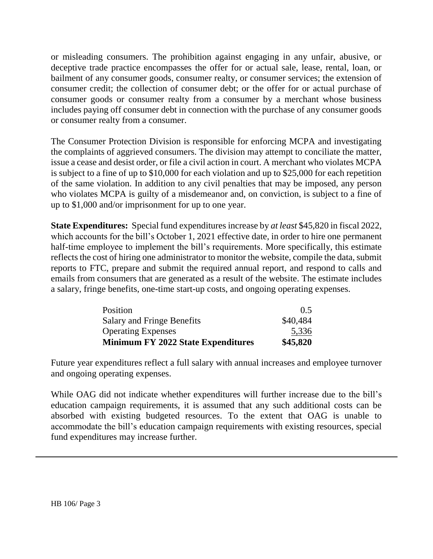or misleading consumers. The prohibition against engaging in any unfair, abusive, or deceptive trade practice encompasses the offer for or actual sale, lease, rental, loan, or bailment of any consumer goods, consumer realty, or consumer services; the extension of consumer credit; the collection of consumer debt; or the offer for or actual purchase of consumer goods or consumer realty from a consumer by a merchant whose business includes paying off consumer debt in connection with the purchase of any consumer goods or consumer realty from a consumer.

The Consumer Protection Division is responsible for enforcing MCPA and investigating the complaints of aggrieved consumers. The division may attempt to conciliate the matter, issue a cease and desist order, or file a civil action in court. A merchant who violates MCPA is subject to a fine of up to \$10,000 for each violation and up to \$25,000 for each repetition of the same violation. In addition to any civil penalties that may be imposed, any person who violates MCPA is guilty of a misdemeanor and, on conviction, is subject to a fine of up to \$1,000 and/or imprisonment for up to one year.

**State Expenditures:** Special fund expenditures increase by *at least* \$45,820 in fiscal 2022, which accounts for the bill's October 1, 2021 effective date, in order to hire one permanent half-time employee to implement the bill's requirements. More specifically, this estimate reflects the cost of hiring one administrator to monitor the website, compile the data, submit reports to FTC, prepare and submit the required annual report, and respond to calls and emails from consumers that are generated as a result of the website. The estimate includes a salary, fringe benefits, one-time start-up costs, and ongoing operating expenses.

| Position                                  | (0.5)    |
|-------------------------------------------|----------|
| <b>Salary and Fringe Benefits</b>         | \$40,484 |
| <b>Operating Expenses</b>                 | 5,336    |
| <b>Minimum FY 2022 State Expenditures</b> | \$45,820 |

Future year expenditures reflect a full salary with annual increases and employee turnover and ongoing operating expenses.

While OAG did not indicate whether expenditures will further increase due to the bill's education campaign requirements, it is assumed that any such additional costs can be absorbed with existing budgeted resources. To the extent that OAG is unable to accommodate the bill's education campaign requirements with existing resources, special fund expenditures may increase further.